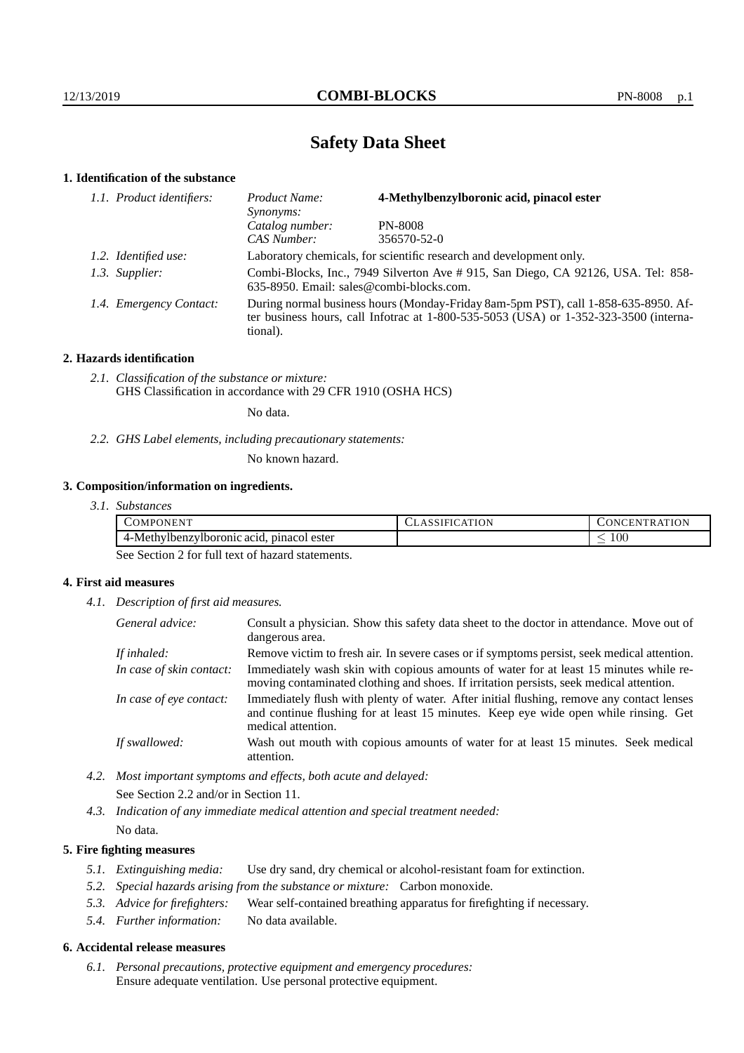# **Safety Data Sheet**

# **1. Identification of the substance**

| 1.1. Product identifiers: | 4-Methylbenzylboronic acid, pinacol ester<br>Product Name:<br>Synonyms:                                                                                                                 |                |  |
|---------------------------|-----------------------------------------------------------------------------------------------------------------------------------------------------------------------------------------|----------------|--|
|                           | Catalog number:                                                                                                                                                                         | <b>PN-8008</b> |  |
|                           | CAS Number:                                                                                                                                                                             | 356570-52-0    |  |
| 1.2. Identified use:      | Laboratory chemicals, for scientific research and development only.                                                                                                                     |                |  |
| 1.3. Supplier:            | Combi-Blocks, Inc., 7949 Silverton Ave #915, San Diego, CA 92126, USA. Tel: 858-<br>635-8950. Email: sales@combi-blocks.com.                                                            |                |  |
| 1.4. Emergency Contact:   | During normal business hours (Monday-Friday 8am-5pm PST), call 1-858-635-8950. Af-<br>ter business hours, call Infotrac at 1-800-535-5053 (USA) or 1-352-323-3500 (interna-<br>tional). |                |  |

## **2. Hazards identification**

*2.1. Classification of the substance or mixture:* GHS Classification in accordance with 29 CFR 1910 (OSHA HCS)

No data.

*2.2. GHS Label elements, including precautionary statements:*

No known hazard.

# **3. Composition/information on ingredients.**

| $\sim$ OMPC.<br>ONEN"                          | ATION<br>'ICAT<br>. . S LET<br>$\mathbf{A}$ | <b>TRATION</b><br>ΈN.<br>DN C |
|------------------------------------------------|---------------------------------------------|-------------------------------|
| 4-Methylbenzylboromic acid,<br>. pinacol ester |                                             | $100\,$                       |

See Section 2 for full text of hazard statements.

# **4. First aid measures**

*4.1. Description of first aid measures.*

| General advice:          | Consult a physician. Show this safety data sheet to the doctor in attendance. Move out of<br>dangerous area.                                                                                            |
|--------------------------|---------------------------------------------------------------------------------------------------------------------------------------------------------------------------------------------------------|
| If inhaled:              | Remove victim to fresh air. In severe cases or if symptoms persist, seek medical attention.                                                                                                             |
| In case of skin contact: | Immediately wash skin with copious amounts of water for at least 15 minutes while re-<br>moving contaminated clothing and shoes. If irritation persists, seek medical attention.                        |
| In case of eye contact:  | Immediately flush with plenty of water. After initial flushing, remove any contact lenses<br>and continue flushing for at least 15 minutes. Keep eye wide open while rinsing. Get<br>medical attention. |
| If swallowed:            | Wash out mouth with copious amounts of water for at least 15 minutes. Seek medical<br>attention.                                                                                                        |

*4.2. Most important symptoms and effects, both acute and delayed:* See Section 2.2 and/or in Section 11.

*4.3. Indication of any immediate medical attention and special treatment needed:* No data.

## **5. Fire fighting measures**

- *5.1. Extinguishing media:* Use dry sand, dry chemical or alcohol-resistant foam for extinction.
- *5.2. Special hazards arising from the substance or mixture:* Carbon monoxide.
- *5.3. Advice for firefighters:* Wear self-contained breathing apparatus for firefighting if necessary.
- *5.4. Further information:* No data available.

#### **6. Accidental release measures**

*6.1. Personal precautions, protective equipment and emergency procedures:* Ensure adequate ventilation. Use personal protective equipment.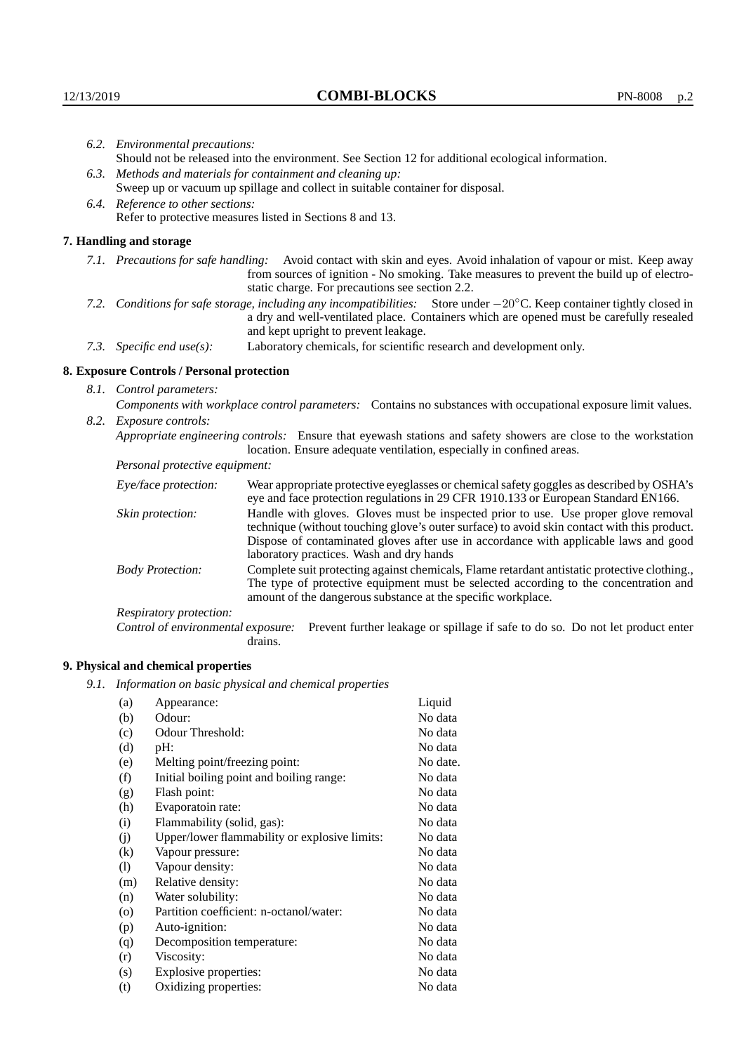| 6.2. Environmental precautions:                                                                                                                                                                                                                                     |                                                                                                                                                                                                                                                                            |  |  |
|---------------------------------------------------------------------------------------------------------------------------------------------------------------------------------------------------------------------------------------------------------------------|----------------------------------------------------------------------------------------------------------------------------------------------------------------------------------------------------------------------------------------------------------------------------|--|--|
| Should not be released into the environment. See Section 12 for additional ecological information.                                                                                                                                                                  |                                                                                                                                                                                                                                                                            |  |  |
| 6.3. Methods and materials for containment and cleaning up:                                                                                                                                                                                                         |                                                                                                                                                                                                                                                                            |  |  |
| Sweep up or vacuum up spillage and collect in suitable container for disposal.                                                                                                                                                                                      |                                                                                                                                                                                                                                                                            |  |  |
| 6.4. Reference to other sections:                                                                                                                                                                                                                                   |                                                                                                                                                                                                                                                                            |  |  |
|                                                                                                                                                                                                                                                                     | Refer to protective measures listed in Sections 8 and 13.                                                                                                                                                                                                                  |  |  |
| 7. Handling and storage                                                                                                                                                                                                                                             |                                                                                                                                                                                                                                                                            |  |  |
|                                                                                                                                                                                                                                                                     | 7.1. Precautions for safe handling: Avoid contact with skin and eyes. Avoid inhalation of vapour or mist. Keep away<br>from sources of ignition - No smoking. Take measures to prevent the build up of electro-<br>static charge. For precautions see section 2.2.         |  |  |
| 7.2. Conditions for safe storage, including any incompatibilities: Store under $-20^{\circ}$ C. Keep container tightly closed in<br>a dry and well-ventilated place. Containers which are opened must be carefully resealed<br>and kept upright to prevent leakage. |                                                                                                                                                                                                                                                                            |  |  |
| 7.3. Specific end use(s):                                                                                                                                                                                                                                           | Laboratory chemicals, for scientific research and development only.                                                                                                                                                                                                        |  |  |
| 8. Exposure Controls / Personal protection                                                                                                                                                                                                                          |                                                                                                                                                                                                                                                                            |  |  |
| 8.1. Control parameters:                                                                                                                                                                                                                                            |                                                                                                                                                                                                                                                                            |  |  |
|                                                                                                                                                                                                                                                                     | Components with workplace control parameters: Contains no substances with occupational exposure limit values.                                                                                                                                                              |  |  |
| 8.2. Exposure controls:                                                                                                                                                                                                                                             |                                                                                                                                                                                                                                                                            |  |  |
| Appropriate engineering controls: Ensure that eyewash stations and safety showers are close to the workstation<br>location. Ensure adequate ventilation, especially in confined areas.                                                                              |                                                                                                                                                                                                                                                                            |  |  |
| Personal protective equipment:                                                                                                                                                                                                                                      |                                                                                                                                                                                                                                                                            |  |  |
| Eye/face protection:                                                                                                                                                                                                                                                | Wear appropriate protective eyeglasses or chemical safety goggles as described by OSHA's<br>eye and face protection regulations in 29 CFR 1910.133 or European Standard EN166.                                                                                             |  |  |
| Skin protection:                                                                                                                                                                                                                                                    | Handle with gloves. Gloves must be inspected prior to use. Use proper glove removal<br>technique (without touching glove's outer surface) to avoid skin contact with this product.<br>Dispose of contaminated gloves after use in accordance with applicable laws and good |  |  |

laboratory practices. Wash and dry hands Body Protection: Complete suit protecting against chemicals, Flame retardant antistatic protective clothing., The type of protective equipment must be selected according to the concentration and amount of the dangerous substance at the specific workplace.

Respiratory protection:

Control of environmental exposure: Prevent further leakage or spillage if safe to do so. Do not let product enter drains.

# **9. Physical and chemical properties**

*9.1. Information on basic physical and chemical properties*

| (a)      | Appearance:                                   | Liquid   |
|----------|-----------------------------------------------|----------|
| (b)      | Odour:                                        | No data  |
| (c)      | Odour Threshold:                              | No data  |
| (d)      | pH:                                           | No data  |
| (e)      | Melting point/freezing point:                 | No date. |
| (f)      | Initial boiling point and boiling range:      | No data  |
| (g)      | Flash point:                                  | No data  |
| (h)      | Evaporatoin rate:                             | No data  |
| (i)      | Flammability (solid, gas):                    | No data  |
| (j)      | Upper/lower flammability or explosive limits: | No data  |
| $\rm(k)$ | Vapour pressure:                              | No data  |
| (1)      | Vapour density:                               | No data  |
| (m)      | Relative density:                             | No data  |
| (n)      | Water solubility:                             | No data  |
| $\circ$  | Partition coefficient: n-octanol/water:       | No data  |
| (p)      | Auto-ignition:                                | No data  |
| (q)      | Decomposition temperature:                    | No data  |
| (r)      | Viscosity:                                    | No data  |
| (s)      | Explosive properties:                         | No data  |
| (t)      | Oxidizing properties:                         | No data  |
|          |                                               |          |